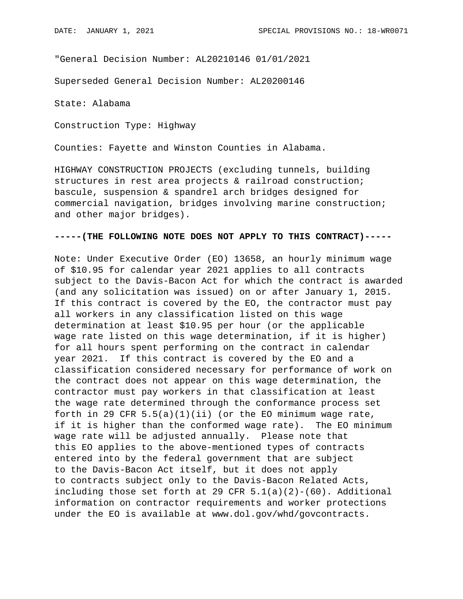"General Decision Number: AL20210146 01/01/2021

Superseded General Decision Number: AL20200146

State: Alabama

Construction Type: Highway

Counties: Fayette and Winston Counties in Alabama.

HIGHWAY CONSTRUCTION PROJECTS (excluding tunnels, building structures in rest area projects & railroad construction; bascule, suspension & spandrel arch bridges designed for commercial navigation, bridges involving marine construction; and other major bridges).

## **-----(THE FOLLOWING NOTE DOES NOT APPLY TO THIS CONTRACT)-----**

Note: Under Executive Order (EO) 13658, an hourly minimum wage of \$10.95 for calendar year 2021 applies to all contracts subject to the Davis-Bacon Act for which the contract is awarded (and any solicitation was issued) on or after January 1, 2015. If this contract is covered by the EO, the contractor must pay all workers in any classification listed on this wage determination at least \$10.95 per hour (or the applicable wage rate listed on this wage determination, if it is higher) for all hours spent performing on the contract in calendar year 2021. If this contract is covered by the EO and a classification considered necessary for performance of work on the contract does not appear on this wage determination, the contractor must pay workers in that classification at least the wage rate determined through the conformance process set forth in 29 CFR  $5.5(a)(1)(ii)$  (or the EO minimum wage rate, if it is higher than the conformed wage rate). The EO minimum wage rate will be adjusted annually. Please note that this EO applies to the above-mentioned types of contracts entered into by the federal government that are subject to the Davis-Bacon Act itself, but it does not apply to contracts subject only to the Davis-Bacon Related Acts, including those set forth at 29 CFR  $5.1(a)(2)-(60)$ . Additional information on contractor requirements and worker protections under the EO is available at www.dol.gov/whd/govcontracts.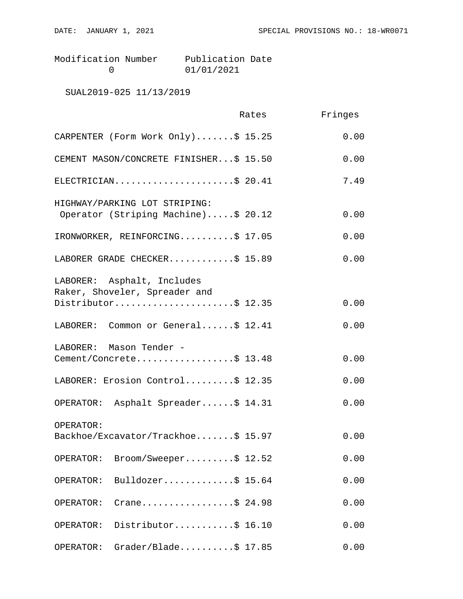Modification Number Publication Date<br>0 01/01/2021 0

SUAL2019-025 11/13/2019

|                                                                                    | Rates | Fringes |
|------------------------------------------------------------------------------------|-------|---------|
| CARPENTER (Form Work Only)\$ 15.25                                                 |       | 0.00    |
| CEMENT MASON/CONCRETE FINISHER\$ 15.50                                             |       | 0.00    |
| ELECTRICIAN\$ 20.41                                                                |       | 7.49    |
| HIGHWAY/PARKING LOT STRIPING:<br>Operator (Striping Machine)\$ 20.12               |       | 0.00    |
| IRONWORKER, REINFORCING\$ 17.05                                                    |       | 0.00    |
| LABORER GRADE CHECKER\$ 15.89                                                      |       | 0.00    |
| LABORER: Asphalt, Includes<br>Raker, Shoveler, Spreader and<br>Distributor\$ 12.35 |       | 0.00    |
| LABORER: Common or General\$ 12.41                                                 |       | 0.00    |
| LABORER: Mason Tender -<br>Cement/Concrete\$ 13.48                                 |       | 0.00    |
| LABORER: Erosion Control\$ 12.35                                                   |       | 0.00    |
| OPERATOR: Asphalt Spreader\$ 14.31                                                 |       | 0.00    |
| OPERATOR:<br>Backhoe/Excavator/Trackhoe\$ 15.97                                    |       | 0.00    |
| $\texttt{Broom/Sweeper} \ldots \ldots \ddot{S} 12.52$<br>OPERATOR:                 |       | 0.00    |
| Bulldozer\$ 15.64<br>OPERATOR:                                                     |       | 0.00    |
| Crane\$ 24.98<br>OPERATOR:                                                         |       | 0.00    |
| Distributor\$ 16.10<br>OPERATOR:                                                   |       | 0.00    |
| $Grader/Blade \ldots$ \$ 17.85<br>OPERATOR:                                        |       | 0.00    |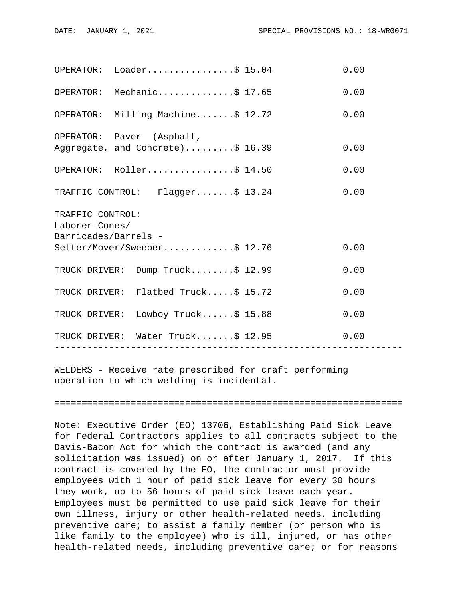|                                                            | $OPERATOR: Loader.$ \$ 15.04                                  |                 | 0.00 |  |
|------------------------------------------------------------|---------------------------------------------------------------|-----------------|------|--|
|                                                            | OPERATOR: Mechanic\$ 17.65                                    |                 | 0.00 |  |
|                                                            | OPERATOR: Milling Machine\$ 12.72                             |                 | 0.00 |  |
|                                                            | OPERATOR: Paver (Asphalt,<br>Aggregate, and Concrete)\$ 16.39 |                 | 0.00 |  |
|                                                            | OPERATOR: Roller\$ 14.50                                      |                 | 0.00 |  |
|                                                            | TRAFFIC CONTROL: Flagger\$ 13.24                              |                 | 0.00 |  |
| TRAFFIC CONTROL:<br>Laborer-Cones/<br>Barricades/Barrels - |                                                               |                 |      |  |
|                                                            | Setter/Mover/Sweeper\$ 12.76                                  |                 | 0.00 |  |
|                                                            | TRUCK DRIVER: Dump Truck\$ 12.99                              |                 | 0.00 |  |
|                                                            | TRUCK DRIVER: Flatbed Truck\$ 15.72                           |                 | 0.00 |  |
|                                                            | TRUCK DRIVER: Lowboy Truck\$ 15.88                            |                 | 0.00 |  |
|                                                            | TRUCK DRIVER: Water Truck\$ 12.95<br>-----------------        | --------------- | 0.00 |  |
|                                                            |                                                               |                 |      |  |

WELDERS - Receive rate prescribed for craft performing operation to which welding is incidental.

================================================================

Note: Executive Order (EO) 13706, Establishing Paid Sick Leave for Federal Contractors applies to all contracts subject to the Davis-Bacon Act for which the contract is awarded (and any solicitation was issued) on or after January 1, 2017. If this contract is covered by the EO, the contractor must provide employees with 1 hour of paid sick leave for every 30 hours they work, up to 56 hours of paid sick leave each year. Employees must be permitted to use paid sick leave for their own illness, injury or other health-related needs, including preventive care; to assist a family member (or person who is like family to the employee) who is ill, injured, or has other health-related needs, including preventive care; or for reasons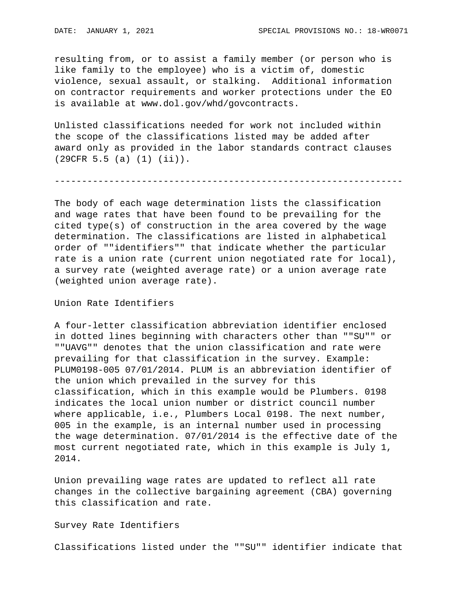resulting from, or to assist a family member (or person who is like family to the employee) who is a victim of, domestic violence, sexual assault, or stalking. Additional information on contractor requirements and worker protections under the EO is available at www.dol.gov/whd/govcontracts.

Unlisted classifications needed for work not included within the scope of the classifications listed may be added after award only as provided in the labor standards contract clauses (29CFR 5.5 (a) (1) (ii)).

----------------------------------------------------------------

The body of each wage determination lists the classification and wage rates that have been found to be prevailing for the cited type(s) of construction in the area covered by the wage determination. The classifications are listed in alphabetical order of ""identifiers"" that indicate whether the particular rate is a union rate (current union negotiated rate for local), a survey rate (weighted average rate) or a union average rate (weighted union average rate).

Union Rate Identifiers

A four-letter classification abbreviation identifier enclosed in dotted lines beginning with characters other than ""SU"" or ""UAVG"" denotes that the union classification and rate were prevailing for that classification in the survey. Example: PLUM0198-005 07/01/2014. PLUM is an abbreviation identifier of the union which prevailed in the survey for this classification, which in this example would be Plumbers. 0198 indicates the local union number or district council number where applicable, i.e., Plumbers Local 0198. The next number, 005 in the example, is an internal number used in processing the wage determination. 07/01/2014 is the effective date of the most current negotiated rate, which in this example is July 1, 2014.

Union prevailing wage rates are updated to reflect all rate changes in the collective bargaining agreement (CBA) governing this classification and rate.

Survey Rate Identifiers

Classifications listed under the ""SU"" identifier indicate that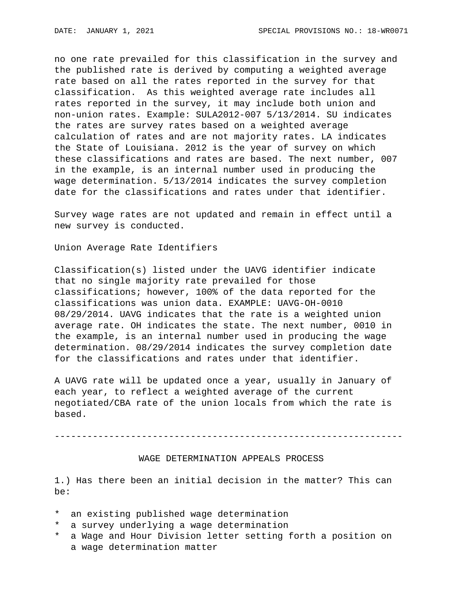no one rate prevailed for this classification in the survey and the published rate is derived by computing a weighted average rate based on all the rates reported in the survey for that classification. As this weighted average rate includes all rates reported in the survey, it may include both union and non-union rates. Example: SULA2012-007 5/13/2014. SU indicates the rates are survey rates based on a weighted average calculation of rates and are not majority rates. LA indicates the State of Louisiana. 2012 is the year of survey on which these classifications and rates are based. The next number, 007 in the example, is an internal number used in producing the wage determination. 5/13/2014 indicates the survey completion date for the classifications and rates under that identifier.

Survey wage rates are not updated and remain in effect until a new survey is conducted.

Union Average Rate Identifiers

Classification(s) listed under the UAVG identifier indicate that no single majority rate prevailed for those classifications; however, 100% of the data reported for the classifications was union data. EXAMPLE: UAVG-OH-0010 08/29/2014. UAVG indicates that the rate is a weighted union average rate. OH indicates the state. The next number, 0010 in the example, is an internal number used in producing the wage determination. 08/29/2014 indicates the survey completion date for the classifications and rates under that identifier.

A UAVG rate will be updated once a year, usually in January of each year, to reflect a weighted average of the current negotiated/CBA rate of the union locals from which the rate is based.

----------------------------------------------------------------

## WAGE DETERMINATION APPEALS PROCESS

1.) Has there been an initial decision in the matter? This can be:

- \* an existing published wage determination
- \* a survey underlying a wage determination
- \* a Wage and Hour Division letter setting forth a position on a wage determination matter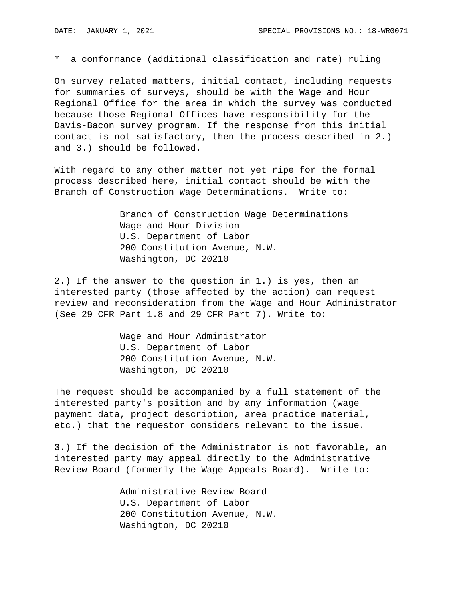\* a conformance (additional classification and rate) ruling

On survey related matters, initial contact, including requests for summaries of surveys, should be with the Wage and Hour Regional Office for the area in which the survey was conducted because those Regional Offices have responsibility for the Davis-Bacon survey program. If the response from this initial contact is not satisfactory, then the process described in 2.) and 3.) should be followed.

With regard to any other matter not yet ripe for the formal process described here, initial contact should be with the Branch of Construction Wage Determinations. Write to:

> Branch of Construction Wage Determinations Wage and Hour Division U.S. Department of Labor 200 Constitution Avenue, N.W. Washington, DC 20210

2.) If the answer to the question in 1.) is yes, then an interested party (those affected by the action) can request review and reconsideration from the Wage and Hour Administrator (See 29 CFR Part 1.8 and 29 CFR Part 7). Write to:

> Wage and Hour Administrator U.S. Department of Labor 200 Constitution Avenue, N.W. Washington, DC 20210

The request should be accompanied by a full statement of the interested party's position and by any information (wage payment data, project description, area practice material, etc.) that the requestor considers relevant to the issue.

3.) If the decision of the Administrator is not favorable, an interested party may appeal directly to the Administrative Review Board (formerly the Wage Appeals Board). Write to:

> Administrative Review Board U.S. Department of Labor 200 Constitution Avenue, N.W. Washington, DC 20210